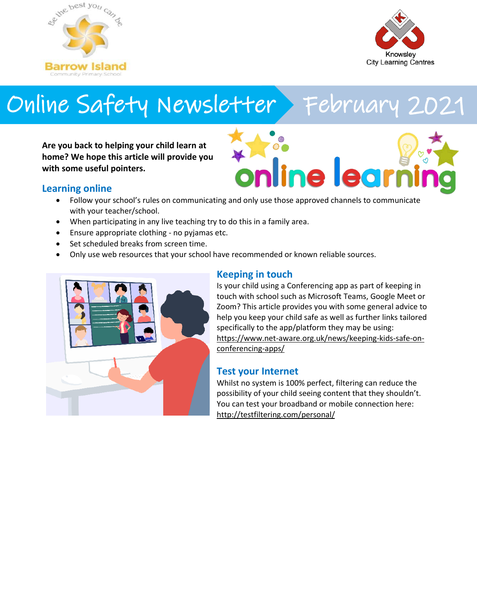



# Online Safety Newsletter > February 2021

**Are you back to helping your child learn at home? We hope this article will provide you with some useful pointers.**



## **Learning online**

- Follow your school's rules on communicating and only use those approved channels to communicate with your teacher/school.
- When participating in any live teaching try to do this in a family area.
- Ensure appropriate clothing no pyjamas etc.
- Set scheduled breaks from screen time.
- Only use web resources that your school have recommended or known reliable sources.



# **Keeping in touch**

Is your child using a Conferencing app as part of keeping in touch with school such as Microsoft Teams, Google Meet or Zoom? This article provides you with some general advice to help you keep your child safe as well as further links tailored specifically to the app/platform they may be using: [https://www.net-aware.org.uk/news/keeping-kids-safe-on](https://www.net-aware.org.uk/news/keeping-kids-safe-on-conferencing-apps/)[conferencing-apps/](https://www.net-aware.org.uk/news/keeping-kids-safe-on-conferencing-apps/)

## **Test your Internet**

Whilst no system is 100% perfect, filtering can reduce the possibility of your child seeing content that they shouldn't. You can test your broadband or mobile connection here: <http://testfiltering.com/personal/>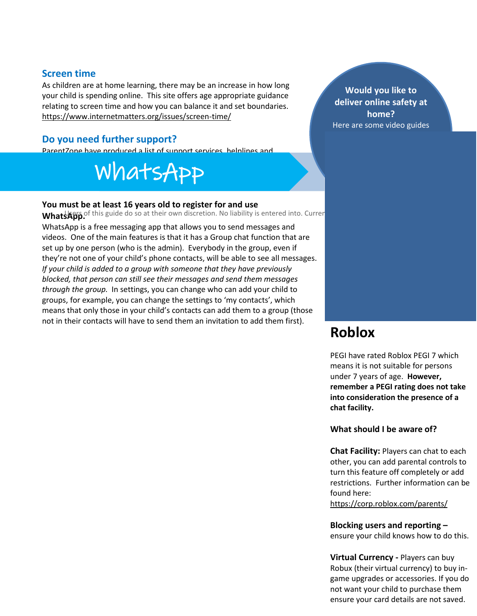# **Screen time**

As children are at home learning, there may be an increase in how long your child is spending online. This site offers age appropriate guidance relating to screen time and how you can balance it and set boundaries. <https://www.internetmatters.org/issues/screen-time/>

## **Do you need further support?**

ParentZone have produced a list of support services, helplines and

#### reporting channels that you may find useful: https://parentzone.org.uk/article/where-report-and-get-support-and-get-support-and-get-support-and-get-support WhatsApp

#### **You must be at least 16 years old to register for and use**

**WhatsApp. This guide do so at their own discretion. No liability is entered into. Current as a software released into a software released into a software released into a software released in the date released in the date** 

WhatsApp is a free messaging app that allows you to send messages and videos. One of the main features is that it has a Group chat function that are set up by one person (who is the admin). Everybody in the group, even if they're not one of your child's phone contacts, will be able to see all messages. *If your child is added to a group with someone that they have previously blocked, that person can still see their messages and send them messages through the group.* In settings, you can change who can add your child to groups, for example, you can change the settings to 'my contacts', which means that only those in your child's contacts can add them to a group (those not in their contacts will have to send them an invitation to add them first).

**Would you like to deliver online safety at home?** Here are some video guides

# **Roblox**

PEGI have rated Roblox PEGI 7 which means it is not suitable for persons under 7 years of age. **However, remember a PEGI rating does not take into consideration the presence of a chat facility.** 

#### **What should I be aware of?**

**Chat Facility:** Players can chat to each other, you can add parental controls to turn this feature off completely or add restrictions. Further information can be found here:

<https://corp.roblox.com/parents/>

**Blocking users and reporting –** ensure your child knows how to do this.

**Virtual Currency -** Players can buy Robux (their virtual currency) to buy ingame upgrades or accessories. If you do not want your child to purchase them ensure your card details are not saved.